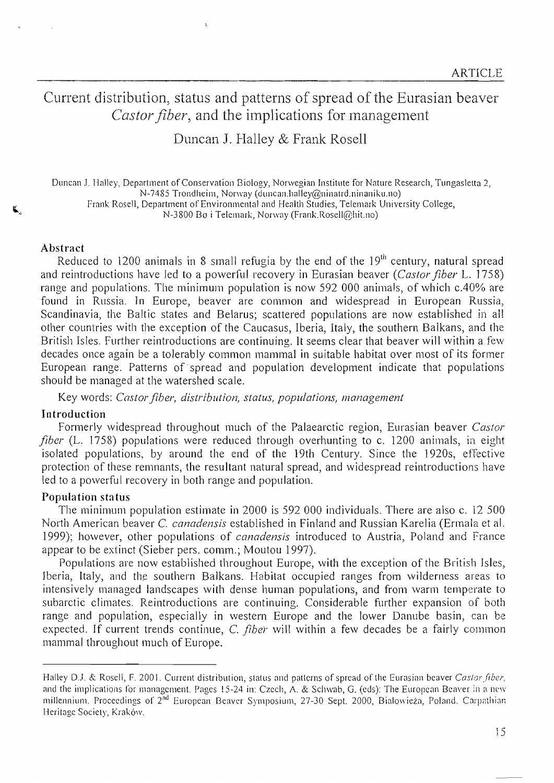# Current distribution, status and patterns of spread of the Eurasian beaver *Castor fiber,* and the implications for management

Duncan J. Halley & Frank RoselI

Duncan J. Halley, Department ofConservation Biology, Norwegian Institute for Nature Research, Tungasletta 2, N-7485 Trondheim, Norway (duncan.halley@ninatrd.ninaniku.no) Frank Rose!l, Department ofEnvironmental and Health Studies, Telemark University College, N-3800 Bo i Telemark, Norway (Frank.Rosell@hit.no)

#### Abstract

Reduced to 1200 animals in 8 small refugia by the end of the  $19<sup>th</sup>$  century, natural spread and reintroductions have led to a powerflll recovery in Eurasian beaver *(Castor fiber* L. ] 758) range and populations. The minimum population is now 592 000 animals, of which c.40% are found in Russia. In Europe, beaver are common and widespread in European Russia, Scandinavia, the Baltic states and Belarus; scattered populations are now established in al! other countries with the exception of the Caucasus, Iberia, Italy, the southern Balkans, and the British Isles. Further reintroductions are continuing. It seems clear that beaver will within a few decades once again be a tolerably common mammaI in suitable habitat over most of its former European range. Patterns of spread and population deve10pment indicate that populations should be managed at the watershed scale.

Key words: *Castorfiber, distriblltion, status, poplllafions, management*

#### Introduction

Formerly widespread throughout much of the Palaearctic region, Eurasian beaver *Castor fiber* (L. 1758) populations were reduced through overhunting to c. 1200 animals, in eight isolated populations, by around the end of the 19th Century. Since the 1920s, effective protection of these remnants, the resultant natural spread, and widespread reintroductions have led to a powerful recovery in both range and population.

#### Population status

The minimum population estimate in 2000 is 592 000 individuals. There are also c. 12 500 North American beaver C. *canadensis* established in Finland and Russian Karelia (Ennala et al. 1999); however, other populations of *canadensis* introduced to Austria, Poland and france appear to be extinct (Sieber pers. comm.; Moutou 1997).

Populations are now established throughout Europe, with the exception of the British Isles, Iberia, Italy, and the southern Balkans. Habitat occupied ranges from wilderness areas to intensively managed landscapes with dense human populations, and from warm temperate to subarctic climates. Reintroductions are continuing. Considerable further expansion of both range and population, especially in western Europe and the lower Danube basin, can be expected. If current trends continue, C. *fiber* will within a few decades be a fairly common mammal throughout much of Europe.

Halley D.J. & Rosell, F. 2001. Current distribution, status and patterns of spread of the Eurasian beaver Castor fiber, and the implications for management. Pages 15-24 in: Czech, A. & Schwab, G. (eds): The European Beaver in a new millennium. Proceedings of 2<sup>nd</sup> European Beaver Symposium, 27-30 Sept. 2000, Bialowieża, Poland. Carpathian Heritage Society, Kraków.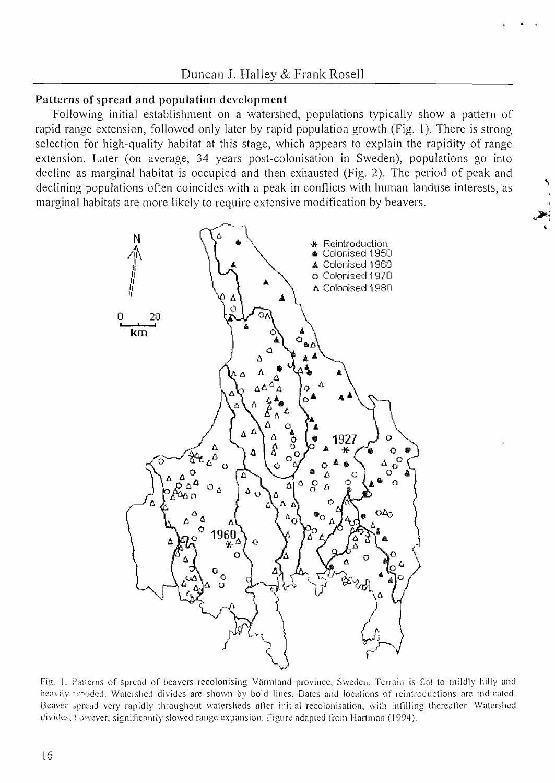## Patterns of spread and population development

Following initial establishment on a watershed, populations typically show a pattern of rapid range extension, followed only later by rapid population growth (Fig. 1). There is strong selection for high-quality habitat at this stage, which appears to explain the rapidity of range extension. Later (on average, 34 years post-colonisation in Sweden), populations go into decline as marginal habitat is occupied and then exhausted (Fig. 2). The period of peak and declining populations often coincides with a peak in conflicts with human landuse interests, as marginal habitats are more likely to require extensive modification by beavers.



Fig. 1. Patterns of spread of beavers recolonising Värmland province, Sweden. Terrain is flat to mildly hilly and heavily wooded. Watershed divides are shown by bold lines. Dates and locations of reintroductions are indicated. Beaver spread very rapidly throughout watersheds after initial recolonisation, with infilling thereafter. Watershed divides, however, significantly slowed range expansion. Figure adapted from Hartman (1994).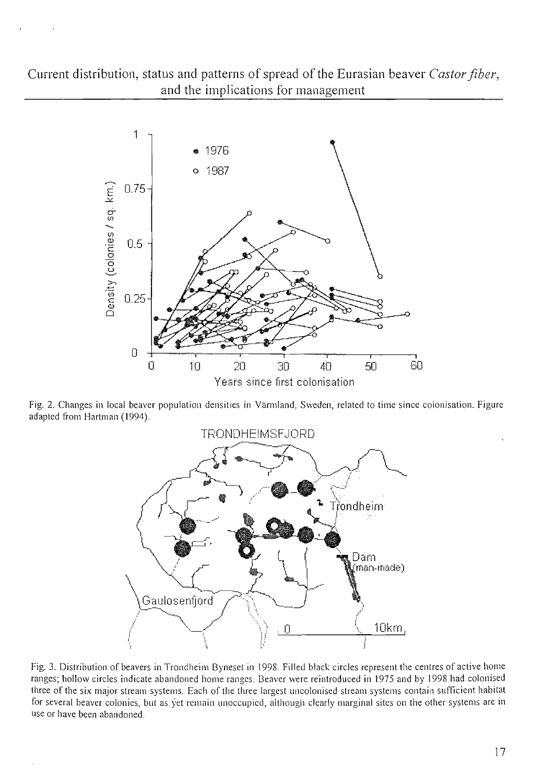# Current distribution, status and patterns of spread of the Eurasian beaver Castor fiber, and the implications for management



Fig. 2. Changes in local beaver population densities in Värmland, Sweden, related to time since colonisation. Figure adapted from Hartman (1994).



Fig. 3. Distribution of beavers in Trondheim Byneset in 1998. Filled black circles represent the centres of active home ranges; hollow circles indicate abandoned home ranges. Beaver were reintroduced in 1975 and by 1998 had colonised three of the six major stream systems. Each of the three largest uncolonised stream systems contain sufficient habitat for several beaver colonies, but as yet remain unoccupied, although clearly marginal sites on the other systems are in use or have been abandoned.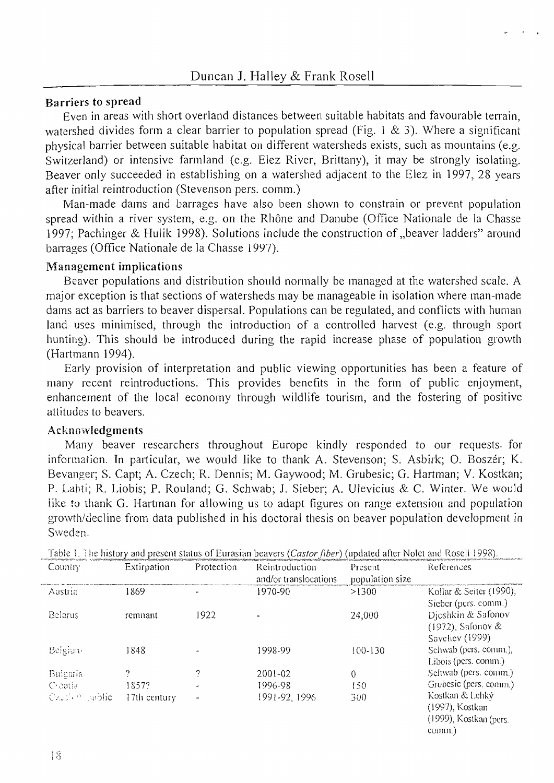#### Barriers to spread

Even in areas with short overland distances between suitable habitats and favourable terrain, watershed divides form a clear barrier to population spread (Fig. 1 & 3). Where a significant physical barrier between suitable habitat on different watersheds exists, such as mountains (e.g. Switzerland) or intensive farmland (e.g. Elez River, Brittany), it may be strongly isolating. Beaver only succeeded in establishing on a watershed adjacent to the Elez in 1997, 28 years after initial reintroduction (Stevenson pers. comm.)

Man-made dams and barrages have also been shown to constrain or prevent population spread within a river system, e.g. on the Rhône and Danube (Office Nationale de la Chasse 1997; Pachinger & Hulik 1998). Solutions include the construction of "beaver ladders" around barrages (Office Nationale de la Chasse 1997).

### Management implications

Beaver populations and distribution should normally be managed at the watershed scale. A major exception is that sections ofwatersheds may be manageable in isolation where man-made dams act as barriers to beaver dispersal. Populations can be regulated, and conflicts with human land uses minimised, through the introduction of a controlled harvest (e.g. through sport hunting). This should be introduced during the rapid increase phase of population growth (Hartmann 1994).

Early provision of interpretation and public viewing opportunities has been a feature of many recent reintroductions. This provides benefits in the form of public enjoyment, enhancement of the local economy through wildlife tourism, and the fostering of positive attitudes to beavers.

## Acknowledgments

Many beaver researchers throughout Europe kindly responded to our requests. for information. In particular, we would like to thank A. Stevenson; S. Asbirk; O. Boszér; K. Bevanger; S. Capt; A. Czech; R. Dennis; M. Gaywood; M. Grubesic; G. Hartman; V. Kostkan; P. Lahti; R. Liobis; P. Rouland; G. Schwab; J. Sieber; A. Ulevicius & C. Winter. \Ve would like to thank G. Hartman for allowing us to adapt figures on range extension and population growth/decline from data published in his doctoral thesis on beaver population development in Sweden.

| Country        | Extirpation  | Protection | Reintroduction<br>and/or translocations | Present<br>population size | References                                                             |
|----------------|--------------|------------|-----------------------------------------|----------------------------|------------------------------------------------------------------------|
| Austria        | 1869         |            | 1970-90                                 | >1300                      | Kollar & Seiter $(1990)$ ,<br>Sieber (pers. comm.)                     |
| <b>Belarus</b> | remnant      | 1922       |                                         | 24,000                     | Djoshkin & Safonov<br>(1972), Safonov &<br>Saveliev (1999)             |
| Belgiun-       | 1848         |            | 1998-99                                 | 100-130                    | Schwab (pers. comm.),<br>Libois (pers. comm.)                          |
| Bulgaria       | 9            | 7          | 2001-02                                 | 0                          | Schwab (pers. comm.)                                                   |
| Creatia        | 1857?        |            | 1996-98                                 | 150                        | Grubesic (pers. comm.)                                                 |
| Castler public | 17th century |            | 1991-92, 1996                           | 300                        | Kostkan & Lehký<br>(1997), Kostkan<br>(1999), Kostkan (pers.<br>comm.) |

Table 1. The history and present status of Eurasian beavers (Castor fiber) (undated after Nolet and Rosell 1998).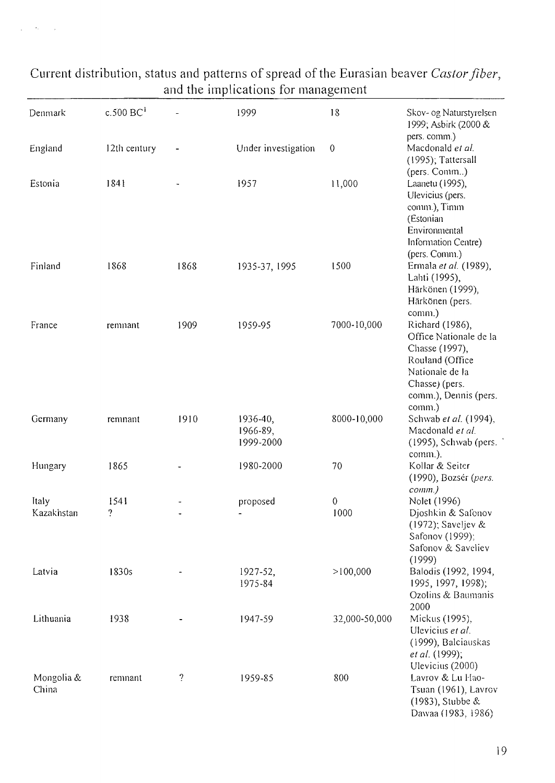| Denmark             | $c.500$ BC <sup>1</sup>          |                    | 1999                              | 18            | Skov- og Naturstyrelsen<br>1999; Asbirk (2000 &                                                                                                        |
|---------------------|----------------------------------|--------------------|-----------------------------------|---------------|--------------------------------------------------------------------------------------------------------------------------------------------------------|
| England             | 12th century                     |                    | Under investigation               | $\theta$      | pers. comm.)<br>Macdonald et al.<br>(1995); Tattersall                                                                                                 |
| Estonia             | 1841                             |                    | 1957                              | 11,000        | (pers. Comm)<br>Laanetu (1995),<br>Ulevicius (pers.<br>comm.), Timm<br>(Estonian<br>Environmental<br>Information Centre)<br>(pers. Comm.)              |
| Finland             | 1868                             | 1868               | 1935-37, 1995                     | 1500          | Ermala et al. (1989),<br>Lahti (1995),<br>Härkönen (1999),<br>Härkönen (pers.<br>comm.)                                                                |
| France              | remnant                          | 1909               | 1959-95                           | 7000-10,000   | Richard (1986),<br>Office Nationale de la<br>Chasse (1997),<br>Rouland (Office<br>Nationale de la<br>Chasse) (pers.<br>comm.), Dennis (pers.<br>comm.) |
| Germany             | remnant                          | 1910               | 1936-40,<br>1966-89,<br>1999-2000 | 8000-10,000   | Schwab et al. (1994),<br>Macdonald et al.<br>(1995), Schwab (pers.<br>comm.).                                                                          |
| Hungary             | 1865                             |                    | 1980-2000                         | 70            | Kollar & Seiter<br>(1990), Bozsér (pers.<br>$comm.$ )                                                                                                  |
| Italy<br>Kazakhstan | 1541<br>$\overline{\mathcal{L}}$ |                    | proposed<br>$\blacksquare$        | 0<br>1000     | Nolet (1996)<br>Djoshkin & Safonov<br>(1972); Saveljev &<br>Safonov (1999);<br>Safonov & Saveliev<br>(1999)                                            |
| Latvia              | 1830s                            |                    | 1927-52,<br>1975-84               | >100,000      | Balodis (1992, 1994,<br>1995, 1997, 1998);<br>Ozolins & Baumanis<br>2000                                                                               |
| Lithuania           | 1938                             |                    | 1947-59                           | 32,000-50,000 | Mickus (1995),<br>Ulevicius et al.<br>(1999), Balciauskas<br>et al. (1999);<br>Ulevicius (2000)                                                        |
| Mongolia &<br>China | remnant                          | $\overline{\cdot}$ | 1959-85                           | 800           | Lavrov & Lu Hao-<br>Tsuan (1961), Lavrov<br>(1983), Stubbe &<br>Dawaa (1983, 1986)                                                                     |

# Current distribution, status and patterns of spread of the Eurasian beaver Castor fiber,<br>and the implications for management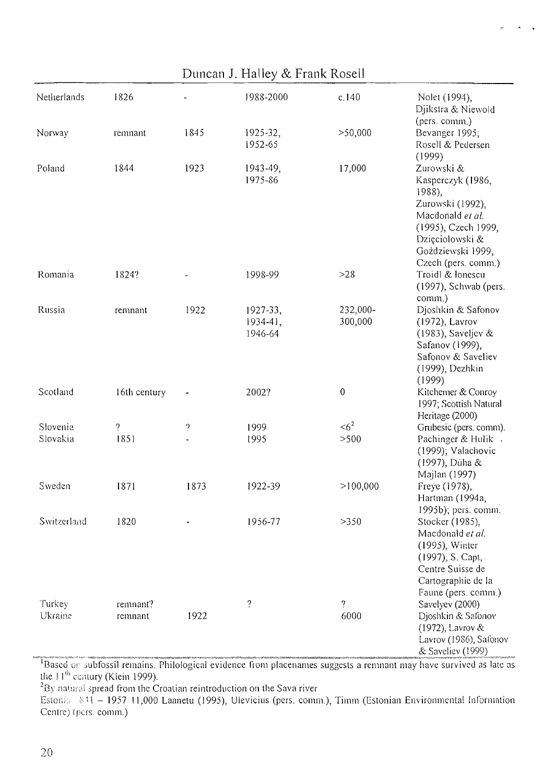| Duncan J. Halley & Frank Rosell |                     |                          |                                      |                        |                                                                                                                                                                         |  |  |  |
|---------------------------------|---------------------|--------------------------|--------------------------------------|------------------------|-------------------------------------------------------------------------------------------------------------------------------------------------------------------------|--|--|--|
| Netherlands                     | 1826                |                          | 1988-2000                            | c.140                  | Nolet (1994),<br>Djikstra & Niewold<br>(pers. comm.)                                                                                                                    |  |  |  |
| Norway                          | remnant             | 1845                     | 1925-32,<br>1952-65                  | > 50,000               | Bevanger 1995;<br>Rosell & Pedersen<br>(1999)                                                                                                                           |  |  |  |
| Poland                          | 1844                | 1923                     | 1943-49,<br>1975-86                  | 17,000                 | Zurowski &<br>Kasperczyk (1986,<br>1988),<br>Zurowski (1992),<br>Macdonald et al.<br>(1995), Czech 1999,<br>Dzięciolowski &<br>Goździewski 1999,<br>Czech (pers. comm.) |  |  |  |
| Romania                         | 1824?               |                          | 1998-99                              | $>28$                  | Troidl & lonescu<br>(1997), Schwab (pers.<br>comm.)                                                                                                                     |  |  |  |
| Russia                          | remnant             | 1922                     | $1927 - 33$ ,<br>1934-41,<br>1946-64 | 232,000-<br>300,000    | Djoshkin & Safonov<br>(1972), Lavrov<br>$(1983)$ , Saveljev &<br>Safanov (1999),<br>Safonov & Saveliev<br>(1999), Dezhkin<br>(1999)                                     |  |  |  |
| Scotland                        | 16th century        |                          | 2002?                                | $\,0\,$                | Kitchemer & Conroy<br>1997; Scottish Natural<br>Heritage (2000)                                                                                                         |  |  |  |
| Slovenia                        | ?                   | $\overline{\phantom{a}}$ | 1999                                 | $\leq 6^2$             | Grubesic (pers. comm).                                                                                                                                                  |  |  |  |
| Slovakia                        | 1851                |                          | 1995                                 | >500                   | Pachinger & Hulik .<br>(1999); Valachovic<br>(1997), Dúha &<br>Majlan (1997)                                                                                            |  |  |  |
| Sweden                          | 1871                | 1873                     | 1922-39                              | >100,000               | Freye (1978),<br>Hartman (1994a,<br>1995b); pers. comm.                                                                                                                 |  |  |  |
| Switzerland                     | 1820                |                          | 1956-77                              | >350                   | Stocker (1985),<br>Macdonald et al.<br>(1995), Winter<br>(1997), S. Capt,<br>Centre Suisse de<br>Cartographie de la<br>Faune (pers. comm.)                              |  |  |  |
| Turkey<br>Ukraine               | remnant?<br>remnant | 1922                     | ?                                    | $\overline{?}$<br>6000 | Savelyev (2000)<br>Djoshkin & Safonov<br>(1972), Lavrov &<br>Lavrov (1986), Safonov<br>& Saveliev (1999)                                                                |  |  |  |

 $\mathbf{A}=\mathbf{A}$ 

Based or subfossil remains. Philological evidence from placenames suggests a remnant may have survived as late as the 11<sup>th</sup> century (Klein 1999).

 $^{\prime}$ By natural spread from the Croatian reintroduction on the Sava river

Estoni.: 841 - 1957 11,000 Laanetu (1995), Ulevicius (pers. comm.), Timm (Estonian Environmental Information Centre) (pers. comm.)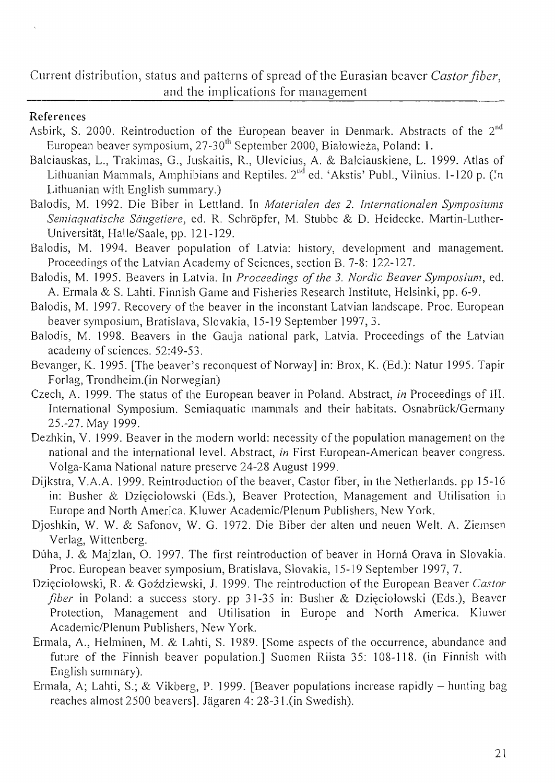Current distribution, status and patterns of spread of the Eurasian beaver *Castor fiber*, and the implications for management

### References

- Asbirk, S. 2000. Reintroduction of the European beaver in Denmark. Abstracts of the 2<sup>nd</sup> European beaver symposium, 27-30<sup>th</sup> September 2000, Białowieża, Poland: 1.
- Balciauskas, L., Trakimas, G., Juskaitis, R., Ulevicius, A. & Balciauskiene, L. 1999. Atlas of Lithuanian Mammals, Amphibians and Reptiles.  $2<sup>nd</sup>$  ed. 'Akstis' Publ., Vilnius. 1-120 p. (In Lithuanian with English summary.)
- Balodis, M. 1992. Die Biber in Lettland. In *Materialen des 2. Internationalen Symposiums Semiaquatisehe Sdugetiere,* ed. R. Schropfer, M. Stubbe & D. Heidecke. Martin-Luther-Universität, Halle/Saale, pp. 121-129.
- Balodis, M. 1994. Beaver population of Latvia: history, development and management. Proceedings of the Latvian Academy of Sciences, section B. 7-8: 122-127.
- Balodis, M. 1995. Beavers in Latvia. In *Proceedings of the 3. Nordic Beaver Symposium*, ed. A. Ennala & S. Lahti. Finnish Game and Fisheries Research Institute, Helsinki, pp. 6-9.
- Balodis, M. 1997. Recovery of the beaver in the inconstant Latvian landscape. Proc. European beaver symposium, Bratislava, Slovakia, 15-19 September ]997,3.
- Balodis, M. 1998. Beavers in the Gauja national park, Latvia. Proceedings of the Latvian academy of sciences. 52:49-53.
- Bevanger, K. 1995. [The beaver's reconquest of Norway] in: Brox, K. (Ed.): Natur 1995. Tapir Forlag, Trondheim.(in Norwegian)
- Czech, A. 1999. The status of the European beaver in Poland. Abstract, *in* Proceedings of Ill. International Symposium. Semiaquatic mammals and their habitats. Osnabrück/Germany 25.-27. May 1999.
- Dezhkin, V. 1999. Beaver in the modern world: necessity of the population management on the national and the international level. Abstract, *in* First European-American beaver congress. Volga-Kama National nature preserve 24-28 August 1999.
- Dijkstra, V.A.A. 1999. Reintroduction of the beaver, Castor fiber, in the Netherlands. pp 15-16 in: Busher & Dzięciołowski (Eds.), Beaver Protection, Management and Utilisation in Europe and North America. Kluwer Academic/Plenum Publishers, New York.
- Djoshkin, W. W. & Safonov, W. G. 1972. Die Biber der alten und neuen Welt. A. Ziemsen Verlag, Wittenberg.
- Dúha, J. & Majzlan, O. 1997. The first reintroduction of beaver in Horná Orava in Slovakia. Proc. European beaver symposium, Bratislava, Slovakia, ]5-19 September 1997,7.
- Dzięciołowski, R. & Goździewski, J. 1999. The reintroduction of the European Beaver *Castor fiber* in Poland: a success story. pp 31-35 in: Busher & Dzięciołowski (Eds.), Beaver Protection, Management and Utilisation in Europe and North America. Kiuwer Academic/Plenum Publishers, New York.
- Ermala, A., Helminen, M. & Lahti, S. 1989. [Some aspects of the occurrence, abundance and future of the Finnish beaver population.] Suomen Riista 35: 108-118. (in Finnish with English summary).
- Ermala, A; Lahti, S.; & Vikberg, P. 1999. [Beaver populations increase rapidly hunting bag reaches almost 2500 beavers]. Jägaren 4: 28-31.(in Swedish).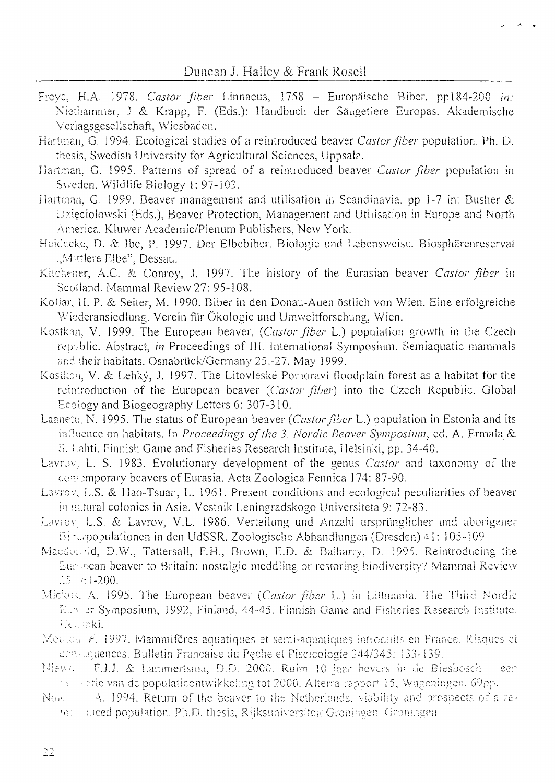- Freye, H.A. 1978. Castor fiber Linnaeus, 1758 Europäische Biber. pp184-200 in: Niethammer, J & Krapp, F. (Eds.): Handbuch der Säugetiere Europas. Akademische Verlagsgesellschaft, Wiesbaden.
- Hartman, G. 1994. Ecological studies of a reintroduced beaver Castor fiber population. Ph. D. thesis, Swedish University for Agricultural Sciences, Uppsala.
- Hartman, G. 1995. Patterns of spread of a reintroduced beaver Castor fiber population in Sweden. Wildlife Biology 1: 97-103.
- Hartman, G. 1999. Beaver management and utilisation in Scandinavia, pp 1-7 in: Busher & Dzięciołowski (Eds.), Beaver Protection, Management and Utilisation in Europe and North America. Kluwer Academic/Plenum Publishers, New York.
- Heidecke, D. & Ibe, P. 1997. Der Elbebiber. Biologie und Lebensweise. Biosphärenreservat "Mittlere Elbe", Dessau.
- Kitchener, A.C. & Conroy, J. 1997. The history of the Eurasian beaver Castor fiber in Scotland. Mammal Review 27: 95-108.
- Kollar, H. P. & Seiter, M. 1990. Biber in den Donau-Auen östlich von Wien. Eine erfolgreiche Wiederansiedlung. Verein für Ökologie und Umweltforschung, Wien.
- Kostkan, V. 1999. The European beaver, (Castor fiber L.) population growth in the Czech republic. Abstract, *in* Proceedings of III. International Symposium. Semiaquatic mammals and their habitats. Osnabrück/Germany 25.-27. May 1999.
- Kostkan, V. & Lehký, J. 1997. The Litovleské Pomoraví floodplain forest as a habitat for the reintroduction of the European beaver (Castor fiber) into the Czech Republic. Global Ecology and Biogeography Letters 6: 307-310.
- Laanetu, N. 1995. The status of European beaver (Castor fiber L.) population in Estonia and its influence on habitats. In Proceedings of the 3. Nordic Beaver Symposium, ed. A. Ermala & S. Lahti, Finnish Game and Fisheries Research Institute, Helsinki, pp. 34-40.
- Lavrov, L. S. 1983. Evolutionary development of the genus Castor and taxonomy of the contemporary beavers of Eurasia. Acta Zoologica Fennica 174: 87-90.
- Lavrov, L.S. & Hao-Tsuan, L. 1961. Present conditions and ecological peculiarities of beaver in natural colonies in Asia. Vestnik Leningradskogo Universiteta 9: 72-83.
- Lavrey, L.S. & Lavrov, V.L. 1986. Verteilung und Anzahl ursprünglicher und aborigener Bibaroopulationen in den UdSSR, Zoologische Abhandlungen (Dresden) 41: 105-109
- Macdonald, D.W., Tattersall, F.H., Brown, E.D. & Balbarry, D. 1995. Reintroducing the European beaver to Britain; nostalgic meddling or restoring biodiversity? Mammal Review  $25.61 - 200.$
- Mickus, A. 1995. The European beaver (Castor fiber L.) in Lithuania. The Third Nordic E.a. er Symposium, 1992, Finland, 44-45. Finnish Game and Fisheries Research Institute, He anki.
- Medical F. 1997. Mammifères aquatiques et semi-aquatiques introduits en France. Risques et constiguences. Bulletin Francaise du Peche et Piscicologie 344/345: 133-139.
- F.J.J. & Lammertsma, D.D. 2000. Ruim 10 jaar bevers in de Biesbosch een Niews  $\sim$  atie van de populatieontwikkeling tot 2000. Alterna-rapport 15, Wageningen, 69pp.
- A. 1994. Return of the beaver to the Netherlands, viability and prospects of a re-Non. the stated population, Ph.D. thesis, Rijksuniversiteit Groningen. Groningen.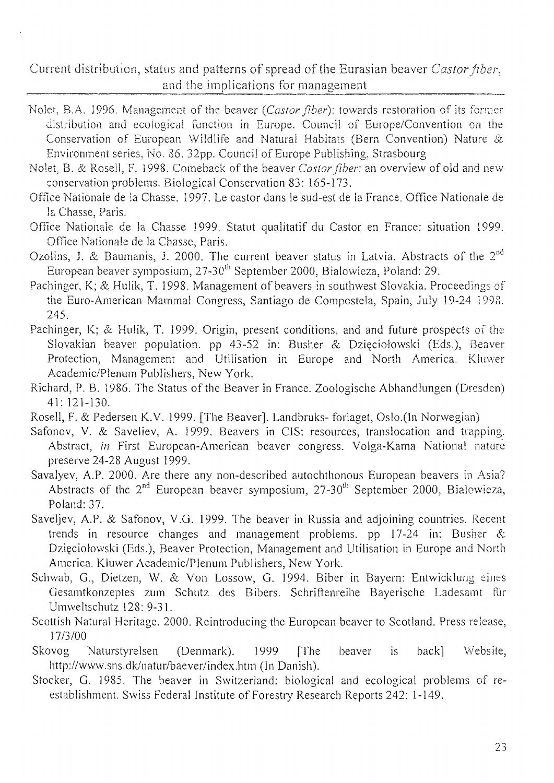Current distribution, status and patterns of spread of the Eurasian beaver Castor fiber. and the implications for management

- Nolet, B.A. 1996. Management of the beaver (Castor fiber): towards restoration of its former distribution and ecological function in Europe. Council of Europe/Convention on the Conservation of European Wildlife and Natural Habitats (Bern Convention) Nature & Environment series, No. 86, 32pp. Council of Europe Publishing, Strasbourg
- Nolet, B. & Rosell, F. 1998. Comeback of the beaver Castor fiber: an overview of old and new conservation problems. Biological Conservation 83: 165-173.
- Office Nationale de la Chasse, 1997. Le castor dans le sud-est de la France. Office Nationale de la Chasse, Paris.
- Office Nationale de la Chasse 1999, Statut qualitatif du Castor en France: situation 1999. Office Nationale de la Chasse, Paris.
- Ozolins, J. & Baumanis, J. 2000. The current beaver status in Latvia. Abstracts of the 2<sup>nd</sup> European beaver symposium, 27-30<sup>th</sup> September 2000, Bialowieza, Poland: 29.
- Pachinger, K; & Hulik, T. 1998. Management of beavers in southwest Slovakia. Proceedings of the Euro-American Mammal Congress, Santiago de Compostela, Spain, July 19-24 1998. 245.
- Pachinger, K; & Hulik, T. 1999. Origin, present conditions, and and future prospects of the Slovakian beaver population. pp 43-52 in: Busher & Dzięciołowski (Eds.), Beaver Protection, Management and Utilisation in Europe and North America. Kluwer Academic/Plenum Publishers, New York.
- Richard, P. B. 1986. The Status of the Beaver in France. Zoologische Abhandlungen (Dresden)  $41:121-130.$
- Rosell, F. & Pedersen K.V. 1999. [The Beaver]. Landbruks-forlaget, Oslo.(In Norwegian)
- Safonov, V. & Saveliev, A. 1999. Beavers in CIS: resources, translocation and trapping. Abstract, in First European-American beaver congress. Volga-Kama National nature preserve 24-28 August 1999.
- Savalyev, A.P. 2000. Are there any non-described autochthonous European beavers in Asia? Abstracts of the 2<sup>nd</sup> European beaver symposium, 27-30<sup>th</sup> September 2000, Bialowieza, Poland: 37.
- Saveljev, A.P. & Safonov, V.G. 1999. The beaver in Russia and adjoining countries. Recent trends in resource changes and management problems. pp 17-24 in: Busher & Dzięciołowski (Eds.), Beaver Protection, Management and Utilisation in Europe and North America. Kluwer Academic/Plenum Publishers, New York.
- Schwab, G., Dietzen, W. & Von Lossow, G. 1994. Biber in Bayern: Entwicklung eines Gesamtkonzeptes zum Schutz des Bibers. Schriftenreihe Bayerische Ladesamt für Umweltschutz 128: 9-31.
- Scottish Natural Heritage. 2000. Reintroducing the European beaver to Scotland. Press release, 17/3/00
- Skovog Naturstyrelsen (Denmark). 1999  $back]$ Website, **The** beaver is http://www.sns.dk/natur/baever/index.htm (In Danish).
- Stocker, G. 1985. The beaver in Switzerland: biological and ecological problems of reestablishment. Swiss Federal Institute of Forestry Research Reports 242: 1-149.